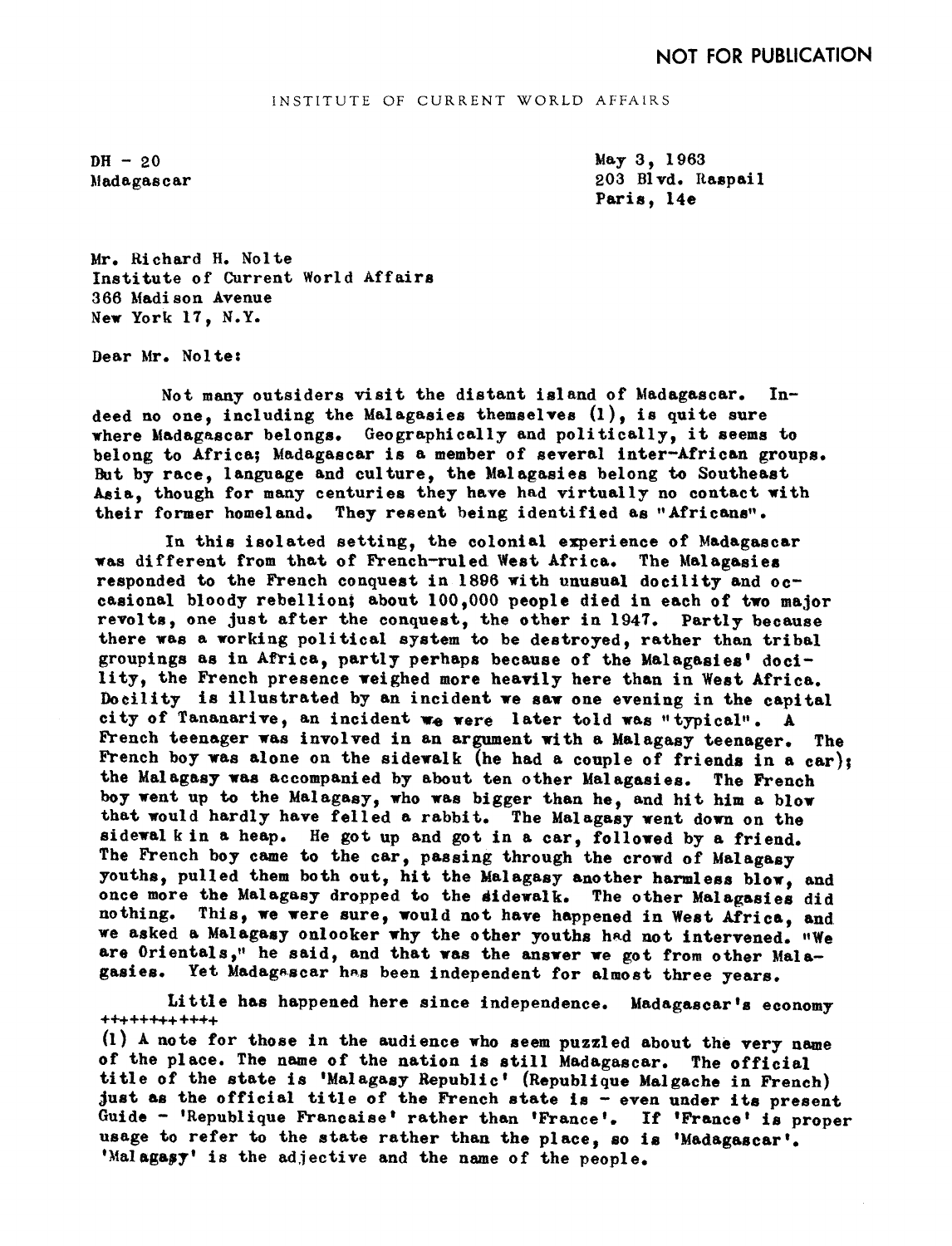INSTITUTE OF CURRENT WORLD AFFAIRS

 $DH - 20$ Madagasc ar May 3, 1963 203 Blvd. Raspail Paris, 14e

Mr. Richard H. Nolte Institute of Current World Affairs 366 Madison Avenue New York 17, N.Y.

Dear Mr. Nolte

Not many outsiders visit the distant island of Madagascar. Indeed no one, including the Malagasies themselves  $(1)$ , is quite sure where Madagascar belongs. Geographically-and politically, it seems to belong to Africa; Madagascar in a member of several inter-Afrlcan groups. But by race, language and culture, the Malagasies belong to Southeast Asia, though for many centuries they have had virtually no contact with their former homeland. They resent being identified as "Africans".

In this isolated setting, the colonial experience of Madagascar was different from that of French-ruled West Africa. The Malagasies responded to the French conquest in. 1896 with unusual docility and occasional bloody rebellion; about 100,000 people died in each of two major revolts, one just after the conquest, the other in 1947. Partly because there wan a working political system to be destroyed, rather than tribal groupings as in Africa, partly perhaps because of the Malagasies' docility, the French presence weighed more heavily here than in West Africa. Docility is illustrated by an incident we saw one evening in the capital city of Tananarive, an incident we were later told was "typical". A French teenager was involved in an argument with a Malagasy teenager. The French boy was alone on the sidewalk (he had a couple of friends in a car); the Malagasy wan accompanied by about ten other Malagasies. The French boy went up to the Malagasy, who was bigger than he, and hit him a blow that would hardly have felled a rabbit. The Malagasy went down on the sidewalkin a heap. He got up and got in a car, followed by a friend. The French boy came to the car, passing through the crowd of Malagasy youths, pulled them both out, hit the Malagasy another harmless blow, and once more the Malagasy dropped to the sidewalk. The other Malagasies did nothing. This, we were sure, would not have happened in West Africa, and we asked a Malagasy onlooker why the other youths had not intervened. "We are Orientals," he said, and that was the answer we got from other Malagasies. Yet Madagascar has been independent for almost three years.

Little has happened here since independence. Madagascar's economy ++++++++ ++++

(1) A note for those in the audience who seem puzzled about the very name of the place. The name of the nation is still Madagascar. The official title of the state is 'Malagasy Republic' (Republique Malgache in French) just as the official title of the French state is  $-$  even under its present Guide - 'Republique Francaise' rather than 'France'. If 'France' is proper usage to refer to the state rather than the place, so is 'Madagascar'. 'Malagasy' is the adjective and the name of the people.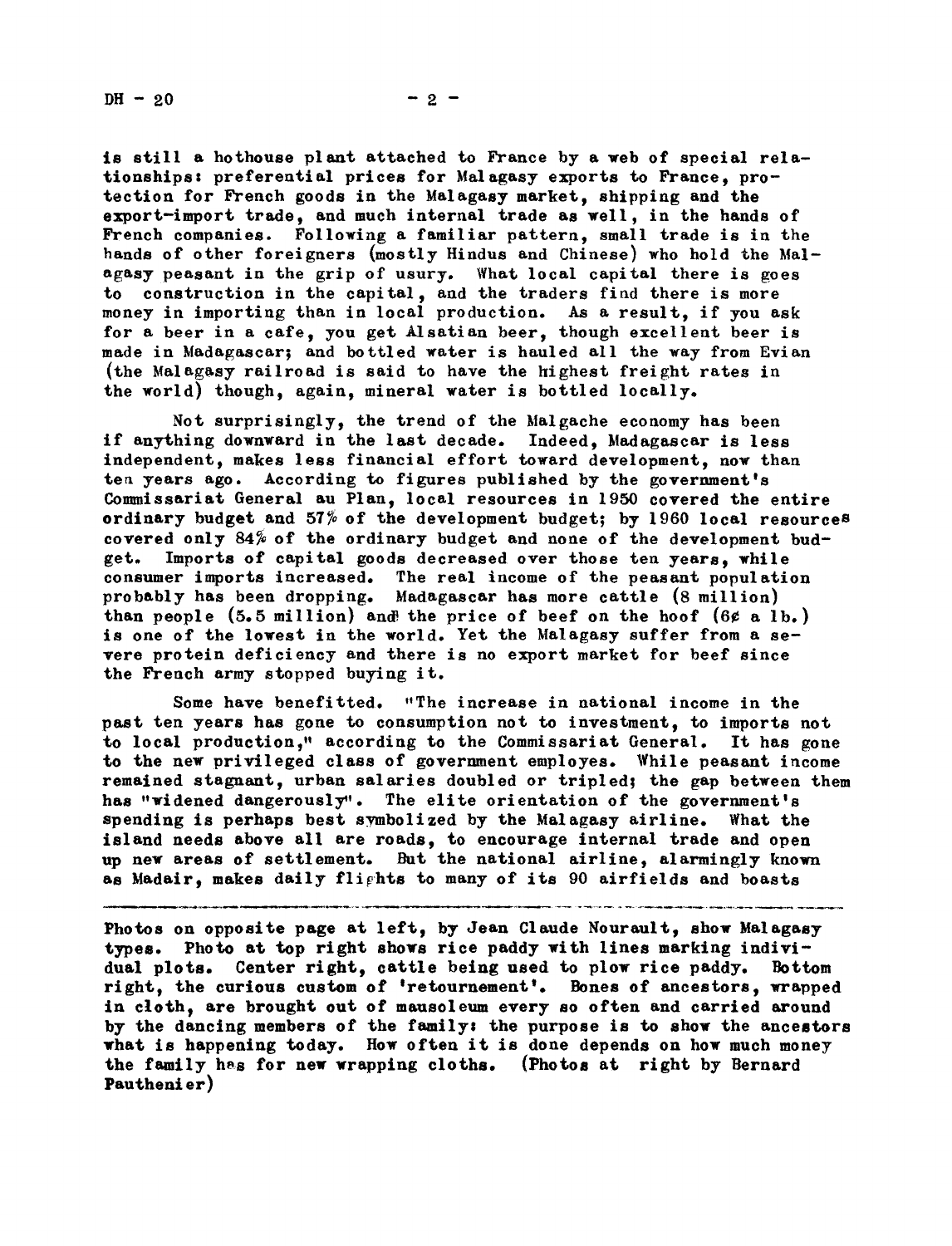is still a hothouse plant attached to France by a web of special relationships: preferential prices for Malagasy exports to France, protection for French goods in the Malagasy market, shipping and the export-import trade, and much internal trade as well, in the hands of French companies. Following a familiar pattern, small trade is in the hands of other foreigners (mostly Hindus and Chinese) who hold the Malagasy.peasant in the grip of usury. Vhat local capital there is goes to construction in the capital, and the traders find there is more money in importing than in local production. As a result, if you ask for a beer in a cafe, you get Alsatian beer, though excellent beer is made in Madagascar; and bottled water is hauled all the way from Evian (the Malagasy railroad is said to have the highest freight rates in the world) though, again, mineral water is bottled locally.

Not surprisingly the trend of the Malgache economy has been if anything downward in the last decade. Indeed, Madagascar is less independent, makes less financial effort toward development, now than ten years ago. According to figures published by the government's Commissariat General au Plan, local resources in 1950 covered the entire ordinary budget and  $57\%$  of the development budget; by 1960 local resources covered only  $84\%$  of the ordinary budget and none of the development bud-<br>get. Imports of capital goods decreased over those ten vears, while Imports of capital goods decreased over those ten years, while consumer imports increased, The real income of the peasant population probably has been dropping, Madagascar has more cattle (8 million) than people  $(5.5 \text{ million})$  and the price of beef on the hoof  $(6¢$  a lb.) is one of the lowest in the world. Yet the Malagasy suffer from a severe protein deficiency and there is no export market for beef since the French army stopped buying it.

Some have benefitted.. "The increase in national income in the past ten years has gone to consumption not to investment, to imports not to local production," according to the Commissariat General. It has gone to the new privileged class of government employes. Vhile peasant income remained stagnant, urban salaries doubled or tripled; the gap between them has "widened dangerously". The elite orientation of the government's spending is perhaps best symbolized by the Malagasy airline. What the island needs above all are roads, to encourage internal trade and open up new areas of settlement. But the national airline, alarmingly known as Madair, makes daily flights to many of its 90 airfields and boasts

Photos on opposite page at left, by Jean Claude Nourault, show Malagasy types. Photo at top right shows rice paddy with lines marking individual plots. Center right, cattle being used to plow rice paddy. Bottom right, the curious custom of 'retournement'. Bones of ancestors, wrapped in cloth, are brought out of mausoleum every so often and carried around by the dancing members of the family: the purpose is to show the ancestors what is happening today. How often it is done depends on how much money the family hes for new wrapping cloths. (Photos at right by Bernard Pautheni er)

.<br>Internacional control con the control of the contemporal of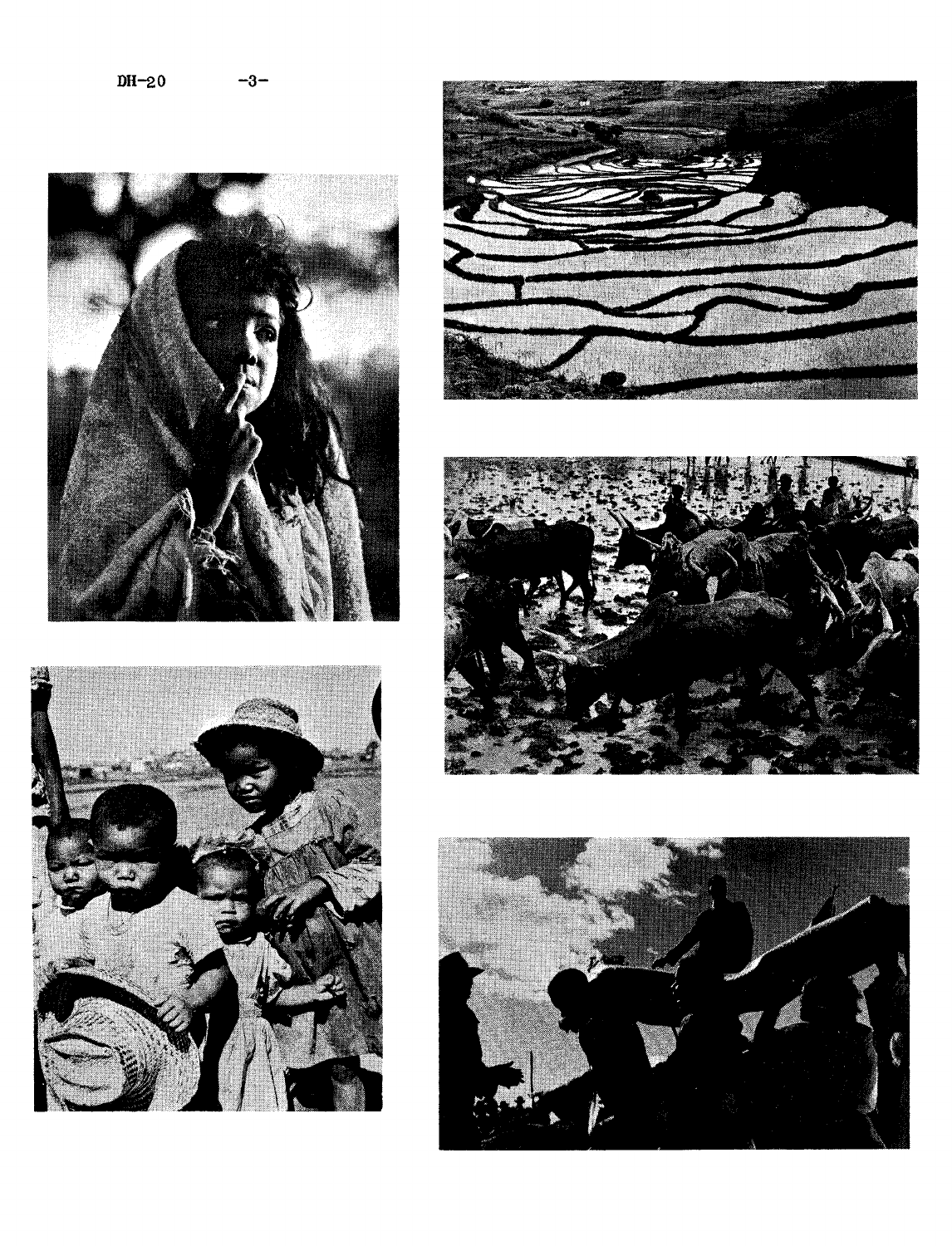## DH-20  $-3-$